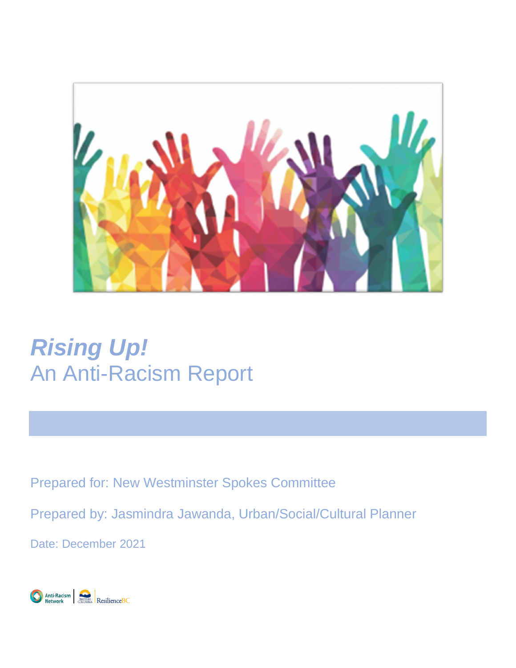

# *Rising Up!*  An Anti-Racism Report

Prepared for: New Westminster Spokes Committee

Prepared by: Jasmindra Jawanda, Urban/Social/Cultural Planner

Date: December 2021

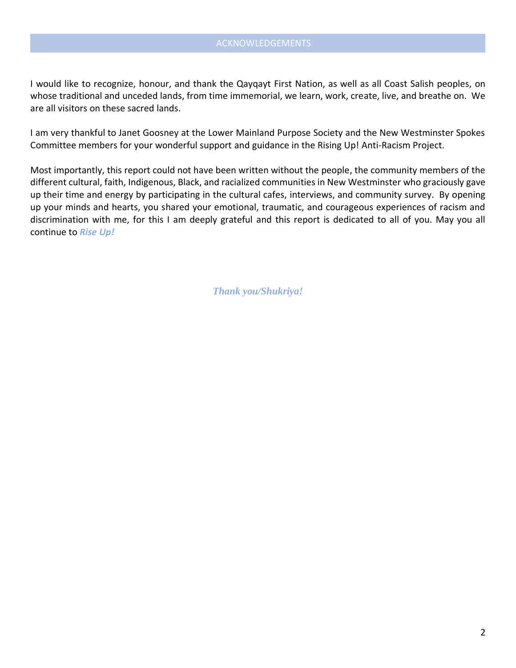I would like to recognize, honour, and thank the Qayqayt First Nation, as well as all Coast Salish peoples, on whose traditional and unceded lands, from time immemorial, we learn, work, create, live, and breathe on. We are all visitors on these sacred lands.

I am very thankful to Janet Goosney at the Lower Mainland Purpose Society and the New Westminster Spokes Committee members for your wonderful support and guidance in the Rising Up! Anti-Racism Project.

Most importantly, this report could not have been written without the people, the community members of the different cultural, faith, Indigenous, Black, and racialized communities in New Westminster who graciously gave up their time and energy by participating in the cultural cafes, interviews, and community survey. By opening up your minds and hearts, you shared your emotional, traumatic, and courageous experiences of racism and discrimination with me, for this I am deeply grateful and this report is dedicated to all of you. May you all continue to *Rise Up!*

*Thank you/Shukriya!*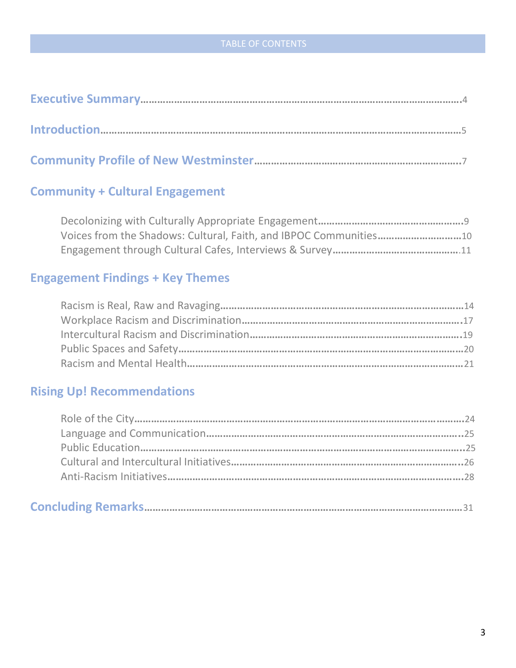# **Community + Cultural Engagement**

Decolonizing with Culturally Appropriate Engagement**…………………………………………….**9 Voices from the Shadows: Cultural, Faith, and IBPOC Communities**…………………………**10 Engagement through Cultural Cafes, Interviews & Survey**………………………………………**.11

# **Engagement Findings + Key Themes**

# **Rising Up! Recommendations**

|--|--|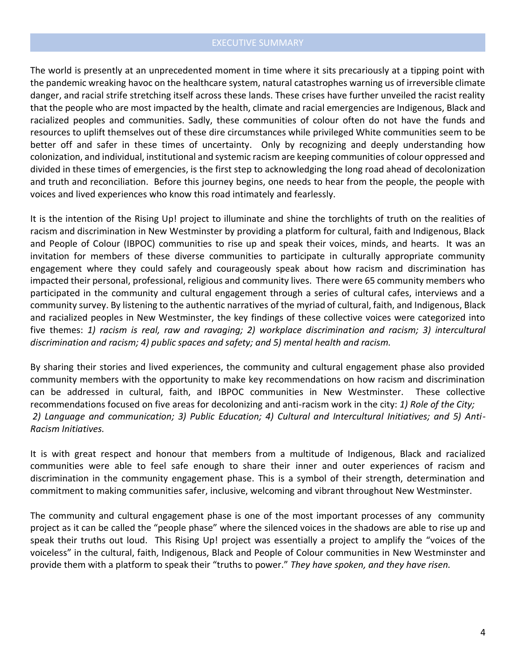### EXECUTIVE SUMMARY

The world is presently at an unprecedented moment in time where it sits precariously at a tipping point with the pandemic wreaking havoc on the healthcare system, natural catastrophes warning us of irreversible climate danger, and racial strife stretching itself across these lands. These crises have further unveiled the racist reality that the people who are most impacted by the health, climate and racial emergencies are Indigenous, Black and racialized peoples and communities. Sadly, these communities of colour often do not have the funds and resources to uplift themselves out of these dire circumstances while privileged White communities seem to be better off and safer in these times of uncertainty. Only by recognizing and deeply understanding how colonization, and individual, institutional and systemic racism are keeping communities of colour oppressed and divided in these times of emergencies, is the first step to acknowledging the long road ahead of decolonization and truth and reconciliation. Before this journey begins, one needs to hear from the people, the people with voices and lived experiences who know this road intimately and fearlessly.

It is the intention of the Rising Up! project to illuminate and shine the torchlights of truth on the realities of racism and discrimination in New Westminster by providing a platform for cultural, faith and Indigenous, Black and People of Colour (IBPOC) communities to rise up and speak their voices, minds, and hearts. It was an invitation for members of these diverse communities to participate in culturally appropriate community engagement where they could safely and courageously speak about how racism and discrimination has impacted their personal, professional, religious and community lives. There were 65 community members who participated in the community and cultural engagement through a series of cultural cafes, interviews and a community survey. By listening to the authentic narratives of the myriad of cultural, faith, and Indigenous, Black and racialized peoples in New Westminster, the key findings of these collective voices were categorized into five themes: *1) racism is real, raw and ravaging; 2) workplace discrimination and racism; 3) intercultural discrimination and racism; 4) public spaces and safety; and 5) mental health and racism.* 

By sharing their stories and lived experiences, the community and cultural engagement phase also provided community members with the opportunity to make key recommendations on how racism and discrimination can be addressed in cultural, faith, and IBPOC communities in New Westminster. These collective recommendations focused on five areas for decolonizing and anti-racism work in the city: *1) Role of the City; 2) Language and communication; 3) Public Education; 4) Cultural and Intercultural Initiatives; and 5) Anti-Racism Initiatives.*

It is with great respect and honour that members from a multitude of Indigenous, Black and racialized communities were able to feel safe enough to share their inner and outer experiences of racism and discrimination in the community engagement phase. This is a symbol of their strength, determination and commitment to making communities safer, inclusive, welcoming and vibrant throughout New Westminster.

The community and cultural engagement phase is one of the most important processes of any community project as it can be called the "people phase" where the silenced voices in the shadows are able to rise up and speak their truths out loud. This Rising Up! project was essentially a project to amplify the "voices of the voiceless" in the cultural, faith, Indigenous, Black and People of Colour communities in New Westminster and provide them with a platform to speak their "truths to power." *They have spoken, and they have risen.*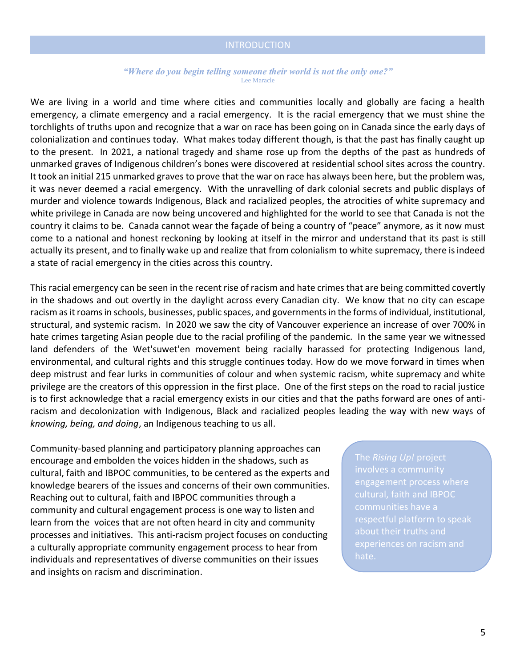#### *"Where do you begin telling someone their world is not the only one?"* Lee Maracle

We are living in a world and time where cities and communities locally and globally are facing a health emergency, a climate emergency and a racial emergency. It is the racial emergency that we must shine the torchlights of truths upon and recognize that a war on race has been going on in Canada since the early days of colonialization and continues today. What makes today different though, is that the past has finally caught up to the present. In 2021, a national tragedy and shame rose up from the depths of the past as hundreds of unmarked graves of Indigenous children's bones were discovered at residential school sites across the country. It took an initial 215 unmarked graves to prove that the war on race has always been here, but the problem was, it was never deemed a racial emergency. With the unravelling of dark colonial secrets and public displays of murder and violence towards Indigenous, Black and racialized peoples, the atrocities of white supremacy and white privilege in Canada are now being uncovered and highlighted for the world to see that Canada is not the country it claims to be. Canada cannot wear the façade of being a country of "peace" anymore, as it now must come to a national and honest reckoning by looking at itself in the mirror and understand that its past is still actually its present, and to finally wake up and realize that from colonialism to white supremacy, there is indeed a state of racial emergency in the cities across this country.

This racial emergency can be seen in the recent rise of racism and hate crimes that are being committed covertly in the shadows and out overtly in the daylight across every Canadian city. We know that no city can escape racism as it roams in schools, businesses, public spaces, and governments in the forms of individual, institutional, structural, and systemic racism. In 2020 we saw the city of Vancouver experience an increase of over 700% in hate crimes targeting Asian people due to the racial profiling of the pandemic. In the same year we witnessed land defenders of the Wet'suwet'en movement being racially harassed for protecting Indigenous land, environmental, and cultural rights and this struggle continues today. How do we move forward in times when deep mistrust and fear lurks in communities of colour and when systemic racism, white supremacy and white privilege are the creators of this oppression in the first place. One of the first steps on the road to racial justice is to first acknowledge that a racial emergency exists in our cities and that the paths forward are ones of antiracism and decolonization with Indigenous, Black and racialized peoples leading the way with new ways of *knowing, being, and doing*, an Indigenous teaching to us all.

Community-based planning and participatory planning approaches can encourage and embolden the voices hidden in the shadows, such as cultural, faith and IBPOC communities, to be centered as the experts and knowledge bearers of the issues and concerns of their own communities. Reaching out to cultural, faith and IBPOC communities through a community and cultural engagement process is one way to listen and learn from the voices that are not often heard in city and community processes and initiatives. This anti-racism project focuses on conducting a culturally appropriate community engagement process to hear from individuals and representatives of diverse communities on their issues and insights on racism and discrimination.

involves a community engagement process where communities have a about their truths and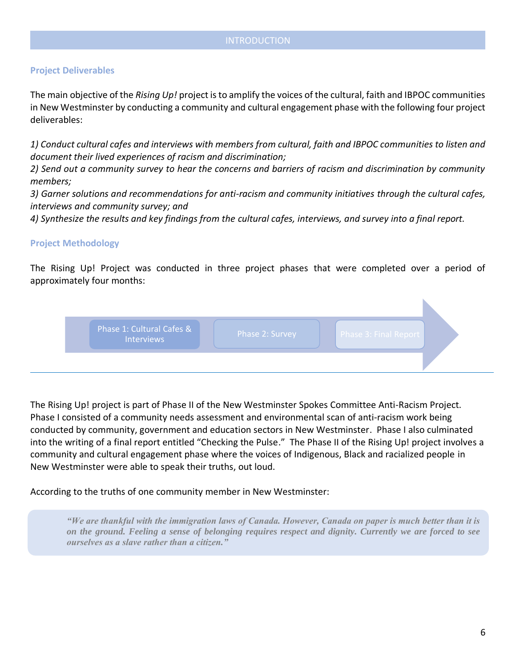### **Project Deliverables**

The main objective of the *Rising Up!* project is to amplify the voices of the cultural, faith and IBPOC communities in New Westminster by conducting a community and cultural engagement phase with the following four project deliverables:

*1) Conduct cultural cafes and interviews with members from cultural, faith and IBPOC communities to listen and document their lived experiences of racism and discrimination;* 

*2) Send out a community survey to hear the concerns and barriers of racism and discrimination by community members;*

*3) Garner solutions and recommendations for anti-racism and community initiatives through the cultural cafes, interviews and community survey; and*

*4) Synthesize the results and key findings from the cultural cafes, interviews, and survey into a final report.* 

### **Project Methodology**

The Rising Up! Project was conducted in three project phases that were completed over a period of approximately four months:



The Rising Up! project is part of Phase II of the New Westminster Spokes Committee Anti-Racism Project. Phase I consisted of a community needs assessment and environmental scan of anti-racism work being conducted by community, government and education sectors in New Westminster. Phase I also culminated into the writing of a final report entitled "Checking the Pulse." The Phase II of the Rising Up! project involves a community and cultural engagement phase where the voices of Indigenous, Black and racialized people in New Westminster were able to speak their truths, out loud.

According to the truths of one community member in New Westminster:

*"We are thankful with the immigration laws of Canada. However, Canada on paper is much better than it is on the ground. Feeling a sense of belonging requires respect and dignity. Currently we are forced to see ourselves as a slave rather than a citizen."*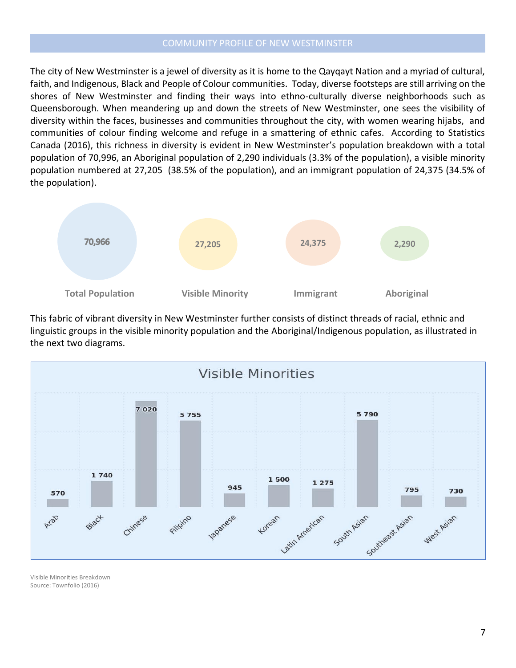#### COMMUNITY PROFILE OF NEW WESTMINSTER

The city of New Westminster is a jewel of diversity as it is home to the Qayqayt Nation and a myriad of cultural, faith, and Indigenous, Black and People of Colour communities. Today, diverse footsteps are still arriving on the shores of New Westminster and finding their ways into ethno-culturally diverse neighborhoods such as Queensborough. When meandering up and down the streets of New Westminster, one sees the visibility of diversity within the faces, businesses and communities throughout the city, with women wearing hijabs, and communities of colour finding welcome and refuge in a smattering of ethnic cafes. According to Statistics Canada (2016), this richness in diversity is evident in New Westminster's population breakdown with a total population of 70,996, an Aboriginal population of 2,290 individuals (3.3% of the population), a visible minority population numbered at 27,205 (38.5% of the population), and an immigrant population of 24,375 (34.5% of the population).



This fabric of vibrant diversity in New Westminster further consists of distinct threads of racial, ethnic and linguistic groups in the visible minority population and the Aboriginal/Indigenous population, as illustrated in the next two diagrams.



Visible Minorities Breakdown Source: Townfolio (2016)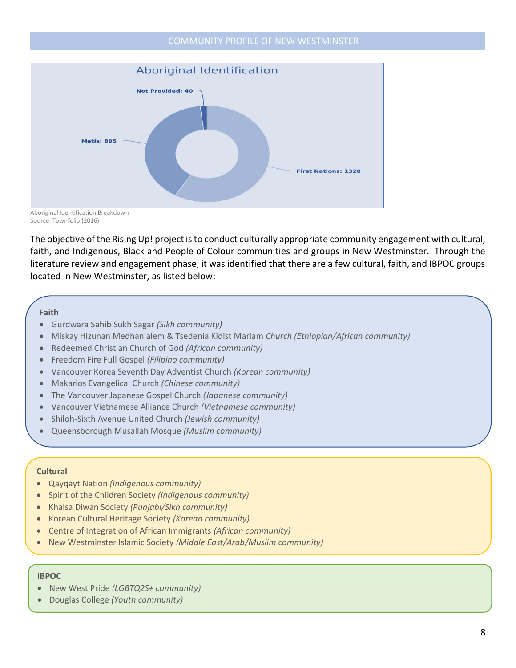#### COMMUNITY PROFILE OF NEW WESTMINSTER



Aboriginal Identification Breakdown Source: Townfolio (2016)

The objective of the Rising Up! project is to conduct culturally appropriate community engagement with cultural, faith, and Indigenous, Black and People of Colour communities and groups in New Westminster. Through the literature review and engagement phase, it was identified that there are a few cultural, faith, and IBPOC groups located in New Westminster, as listed below:

#### **Faith**

- Gurdwara Sahib Sukh Sagar *(Sikh community)*
- Miskay Hizunan Medhanialem & Tsedenia Kidist Mariam *Church (Ethiopian/African community)*
- Redeemed Christian Church of God *(African community)*
- Freedom Fire Full Gospel *(Filipino community)*
- Vancouver Korea Seventh Day Adventist Church *(Korean community)*
- Makarios Evangelical Church *(Chinese community)*
- The Vancouver Japanese Gospel Church *(Japanese community)*
- Vancouver Vietnamese Alliance Church *(Vietnamese community)*
- Shiloh-Sixth Avenue United Church *(Jewish community)*
- Queensborough Musallah Mosque *(Muslim community)*

#### **Cultural**

- Qayqayt Nation *(Indigenous community)*
- Spirit of the Children Society *(Indigenous community)*
- Khalsa Diwan Society *(Punjabi/Sikh community)*
- Korean Cultural Heritage Society *(Korean community)*
- Centre of Integration of African Immigrants *(African community)*
- New Westminster Islamic Society *(Middle East/Arab/Muslim community)*

#### **IBPOC**

- New West Pride *(LGBTQ2S+ community)*
- Douglas College *(Youth community)*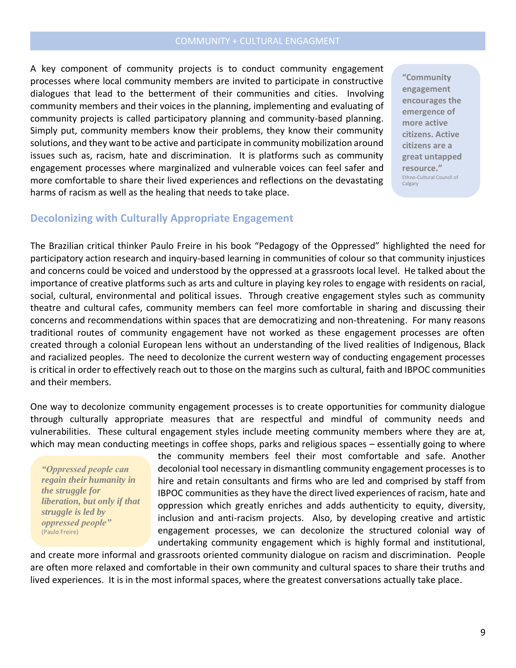A key component of community projects is to conduct community engagement processes where local community members are invited to participate in constructive dialogues that lead to the betterment of their communities and cities. Involving community members and their voices in the planning, implementing and evaluating of community projects is called participatory planning and community-based planning. Simply put, community members know their problems, they know their community solutions, and they want to be active and participate in community mobilization around issues such as, racism, hate and discrimination. It is platforms such as community engagement processes where marginalized and vulnerable voices can feel safer and more comfortable to share their lived experiences and reflections on the devastating harms of racism as well as the healing that needs to take place.

**"Community engagement encourages the emergence of more active citizens. Active citizens are a great untapped resource."**  Ethno-Cultural Council of Calgary

## **Decolonizing with Culturally Appropriate Engagement**

The Brazilian critical thinker Paulo Freire in his book "Pedagogy of the Oppressed" highlighted the need for participatory action research and inquiry-based learning in communities of colour so that community injustices and concerns could be voiced and understood by the oppressed at a grassroots local level. He talked about the importance of creative platforms such as arts and culture in playing key roles to engage with residents on racial, social, cultural, environmental and political issues. Through creative engagement styles such as community theatre and cultural cafes, community members can feel more comfortable in sharing and discussing their concerns and recommendations within spaces that are democratizing and non-threatening. For many reasons traditional routes of community engagement have not worked as these engagement processes are often created through a colonial European lens without an understanding of the lived realities of Indigenous, Black and racialized peoples. The need to decolonize the current western way of conducting engagement processes is critical in order to effectively reach out to those on the margins such as cultural, faith and IBPOC communities and their members.

One way to decolonize community engagement processes is to create opportunities for community dialogue through culturally appropriate measures that are respectful and mindful of community needs and vulnerabilities. These cultural engagement styles include meeting community members where they are at, which may mean conducting meetings in coffee shops, parks and religious spaces – essentially going to where

*"Oppressed people can regain their humanity in the struggle for liberation, but only if that struggle is led by oppressed people"* (Paulo Freire)

the community members feel their most comfortable and safe. Another decolonial tool necessary in dismantling community engagement processes is to hire and retain consultants and firms who are led and comprised by staff from IBPOC communities as they have the direct lived experiences of racism, hate and oppression which greatly enriches and adds authenticity to equity, diversity, inclusion and anti-racism projects. Also, by developing creative and artistic engagement processes, we can decolonize the structured colonial way of undertaking community engagement which is highly formal and institutional,

and create more informal and grassroots oriented community dialogue on racism and discrimination. People are often more relaxed and comfortable in their own community and cultural spaces to share their truths and lived experiences. It is in the most informal spaces, where the greatest conversations actually take place.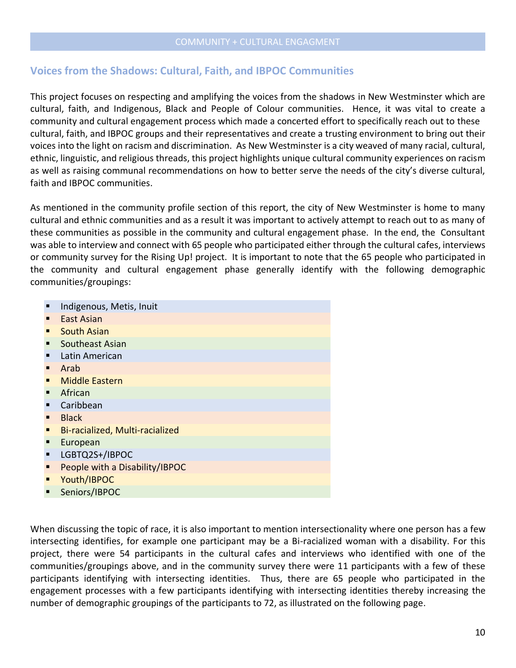# **Voices from the Shadows: Cultural, Faith, and IBPOC Communities**

This project focuses on respecting and amplifying the voices from the shadows in New Westminster which are cultural, faith, and Indigenous, Black and People of Colour communities. Hence, it was vital to create a community and cultural engagement process which made a concerted effort to specifically reach out to these cultural, faith, and IBPOC groups and their representatives and create a trusting environment to bring out their voices into the light on racism and discrimination. As New Westminster is a city weaved of many racial, cultural, ethnic, linguistic, and religious threads, this project highlights unique cultural community experiences on racism as well as raising communal recommendations on how to better serve the needs of the city's diverse cultural, faith and IBPOC communities.

As mentioned in the community profile section of this report, the city of New Westminster is home to many cultural and ethnic communities and as a result it was important to actively attempt to reach out to as many of these communities as possible in the community and cultural engagement phase. In the end, the Consultant was able to interview and connect with 65 people who participated either through the cultural cafes, interviews or community survey for the Rising Up! project. It is important to note that the 65 people who participated in the community and cultural engagement phase generally identify with the following demographic communities/groupings:

- Indigenous, Metis, Inuit
- **East Asian**
- **South Asian**
- Southeast Asian
- Latin American
- Arab
- **Middle Eastern**
- **African**
- Caribbean
- **Black**
- Bi-racialized, Multi-racialized
- **European**
- LGBTQ2S+/IBPOC
- People with a Disability/IBPOC
- Youth/IBPOC
- Seniors/IBPOC

When discussing the topic of race, it is also important to mention intersectionality where one person has a few intersecting identifies, for example one participant may be a Bi-racialized woman with a disability. For this project, there were 54 participants in the cultural cafes and interviews who identified with one of the communities/groupings above, and in the community survey there were 11 participants with a few of these participants identifying with intersecting identities. Thus, there are 65 people who participated in the engagement processes with a few participants identifying with intersecting identities thereby increasing the number of demographic groupings of the participants to 72, as illustrated on the following page.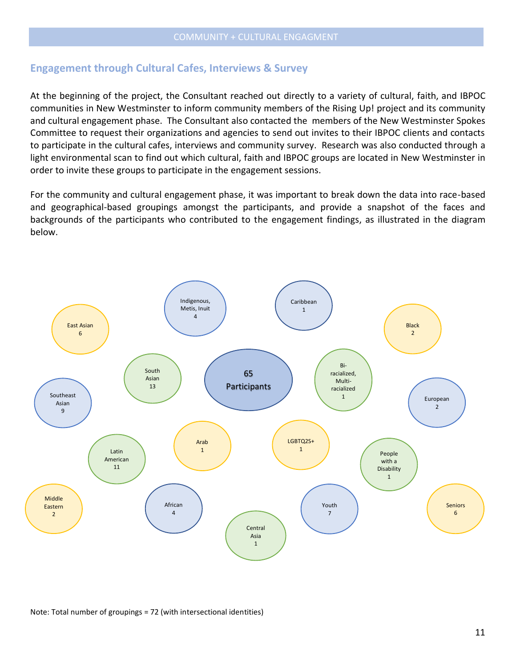# **Engagement through Cultural Cafes, Interviews & Survey**

At the beginning of the project, the Consultant reached out directly to a variety of cultural, faith, and IBPOC communities in New Westminster to inform community members of the Rising Up! project and its community and cultural engagement phase. The Consultant also contacted the members of the New Westminster Spokes Committee to request their organizations and agencies to send out invites to their IBPOC clients and contacts to participate in the cultural cafes, interviews and community survey. Research was also conducted through a light environmental scan to find out which cultural, faith and IBPOC groups are located in New Westminster in order to invite these groups to participate in the engagement sessions.

For the community and cultural engagement phase, it was important to break down the data into race-based and geographical-based groupings amongst the participants, and provide a snapshot of the faces and backgrounds of the participants who contributed to the engagement findings, as illustrated in the diagram below.



Note: Total number of groupings = 72 (with intersectional identities)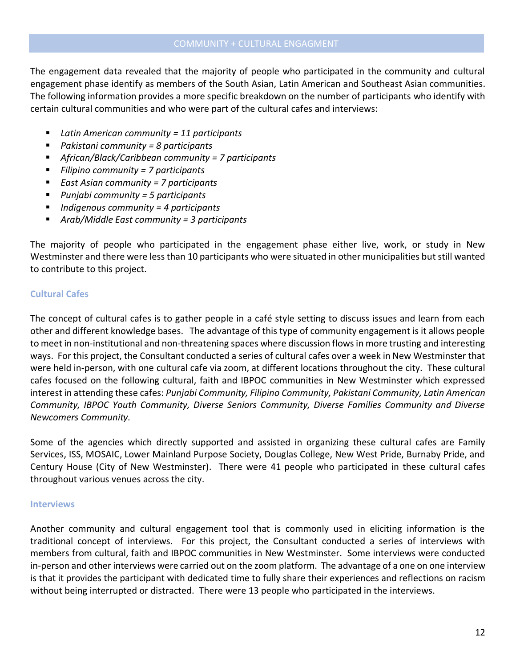The engagement data revealed that the majority of people who participated in the community and cultural engagement phase identify as members of the South Asian, Latin American and Southeast Asian communities. The following information provides a more specific breakdown on the number of participants who identify with certain cultural communities and who were part of the cultural cafes and interviews:

- *Latin American community = 11 participants*
- *Pakistani community = 8 participants*
- *African/Black/Caribbean community = 7 participants*
- *Filipino community = 7 participants*
- *East Asian community = 7 participants*
- *Punjabi community = 5 participants*
- *Indigenous community = 4 participants*
- *Arab/Middle East community = 3 participants*

The majority of people who participated in the engagement phase either live, work, or study in New Westminster and there were less than 10 participants who were situated in other municipalities butstill wanted to contribute to this project.

## **Cultural Cafes**

The concept of cultural cafes is to gather people in a café style setting to discuss issues and learn from each other and different knowledge bases. The advantage of this type of community engagement is it allows people to meet in non-institutional and non-threatening spaces where discussion flows in more trusting and interesting ways. For this project, the Consultant conducted a series of cultural cafes over a week in New Westminster that were held in-person, with one cultural cafe via zoom, at different locations throughout the city. These cultural cafes focused on the following cultural, faith and IBPOC communities in New Westminster which expressed interest in attending these cafes: *Punjabi Community, Filipino Community, Pakistani Community, Latin American Community, IBPOC Youth Community, Diverse Seniors Community, Diverse Families Community and Diverse Newcomers Community.* 

Some of the agencies which directly supported and assisted in organizing these cultural cafes are Family Services, ISS, MOSAIC, Lower Mainland Purpose Society, Douglas College, New West Pride, Burnaby Pride, and Century House (City of New Westminster). There were 41 people who participated in these cultural cafes throughout various venues across the city.

#### **Interviews**

Another community and cultural engagement tool that is commonly used in eliciting information is the traditional concept of interviews. For this project, the Consultant conducted a series of interviews with members from cultural, faith and IBPOC communities in New Westminster. Some interviews were conducted in-person and other interviews were carried out on the zoom platform. The advantage of a one on one interview is that it provides the participant with dedicated time to fully share their experiences and reflections on racism without being interrupted or distracted. There were 13 people who participated in the interviews.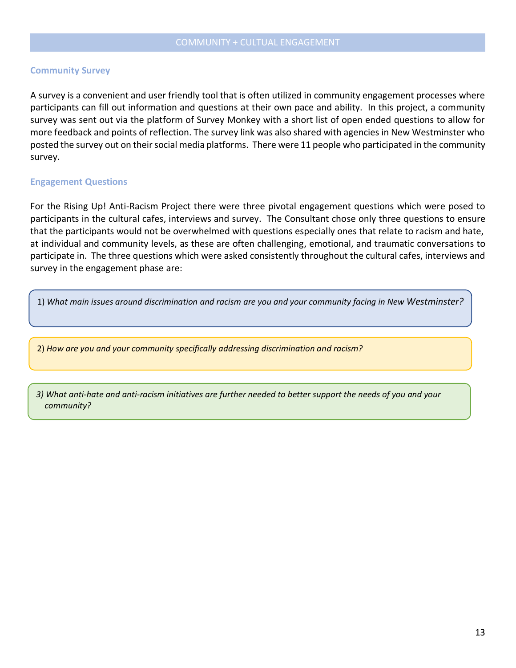#### **Community Survey**

A survey is a convenient and user friendly tool that is often utilized in community engagement processes where participants can fill out information and questions at their own pace and ability. In this project, a community survey was sent out via the platform of Survey Monkey with a short list of open ended questions to allow for more feedback and points of reflection. The survey link was also shared with agencies in New Westminster who posted the survey out on their social media platforms. There were 11 people who participated in the community survey.

#### **Engagement Questions**

For the Rising Up! Anti-Racism Project there were three pivotal engagement questions which were posed to participants in the cultural cafes, interviews and survey. The Consultant chose only three questions to ensure that the participants would not be overwhelmed with questions especially ones that relate to racism and hate, at individual and community levels, as these are often challenging, emotional, and traumatic conversations to participate in. The three questions which were asked consistently throughout the cultural cafes, interviews and survey in the engagement phase are:

1) *What main issues around discrimination and racism are you and your community facing in New Westminster?*

2) *How are you and your community specifically addressing discrimination and racism?*

*3) What anti-hate and anti-racism initiatives are further needed to better support the needs of you and your community?*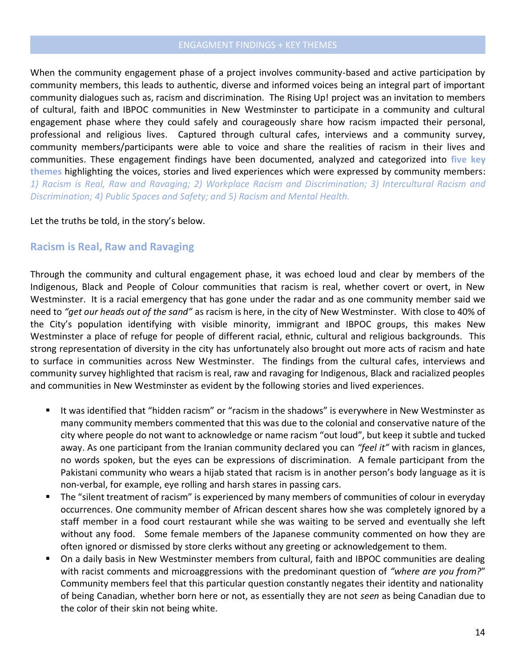When the community engagement phase of a project involves community-based and active participation by community members, this leads to authentic, diverse and informed voices being an integral part of important community dialogues such as, racism and discrimination. The Rising Up! project was an invitation to members of cultural, faith and IBPOC communities in New Westminster to participate in a community and cultural engagement phase where they could safely and courageously share how racism impacted their personal, professional and religious lives. Captured through cultural cafes, interviews and a community survey, community members/participants were able to voice and share the realities of racism in their lives and communities. These engagement findings have been documented, analyzed and categorized into **five key themes** highlighting the voices, stories and lived experiences which were expressed by community members: *1) Racism is Real, Raw and Ravaging; 2) Workplace Racism and Discrimination; 3) Intercultural Racism and Discrimination; 4) Public Spaces and Safety; and 5) Racism and Mental Health.*

### Let the truths be told, in the story's below.

# **Racism is Real, Raw and Ravaging**

Through the community and cultural engagement phase, it was echoed loud and clear by members of the Indigenous, Black and People of Colour communities that racism is real, whether covert or overt, in New Westminster. It is a racial emergency that has gone under the radar and as one community member said we need to *"get our heads out of the sand"* as racism is here, in the city of New Westminster. With close to 40% of the City's population identifying with visible minority, immigrant and IBPOC groups, this makes New Westminster a place of refuge for people of different racial, ethnic, cultural and religious backgrounds. This strong representation of diversity in the city has unfortunately also brought out more acts of racism and hate to surface in communities across New Westminster. The findings from the cultural cafes, interviews and community survey highlighted that racism is real, raw and ravaging for Indigenous, Black and racialized peoples and communities in New Westminster as evident by the following stories and lived experiences.

- It was identified that "hidden racism" or "racism in the shadows" is everywhere in New Westminster as many community members commented that this was due to the colonial and conservative nature of the city where people do not want to acknowledge or name racism "out loud", but keep it subtle and tucked away. As one participant from the Iranian community declared you can *"feel it"* with racism in glances, no words spoken, but the eyes can be expressions of discrimination. A female participant from the Pakistani community who wears a hijab stated that racism is in another person's body language as it is non-verbal, for example, eye rolling and harsh stares in passing cars.
- **•** The "silent treatment of racism" is experienced by many members of communities of colour in everyday occurrences. One community member of African descent shares how she was completely ignored by a staff member in a food court restaurant while she was waiting to be served and eventually she left without any food. Some female members of the Japanese community commented on how they are often ignored or dismissed by store clerks without any greeting or acknowledgement to them.
- On a daily basis in New Westminster members from cultural, faith and IBPOC communities are dealing with racist comments and microaggressions with the predominant question of *"where are you from?*" Community members feel that this particular question constantly negates their identity and nationality of being Canadian, whether born here or not, as essentially they are not *seen* as being Canadian due to the color of their skin not being white.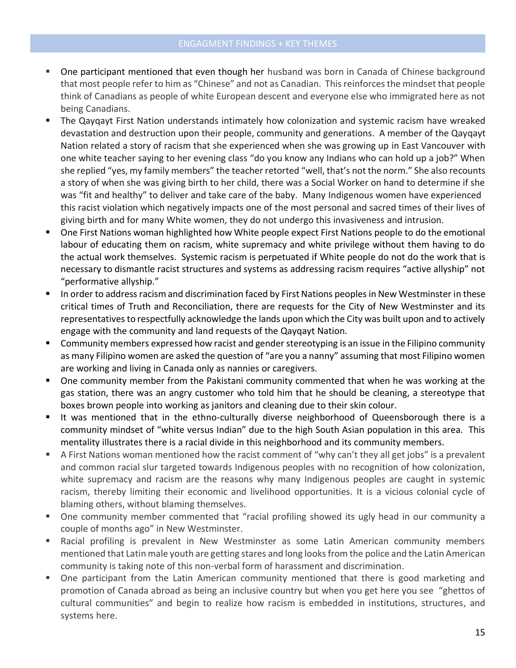- One participant mentioned that even though her husband was born in Canada of Chinese background that most people refer to him as "Chinese" and not as Canadian. This reinforces the mindset that people think of Canadians as people of white European descent and everyone else who immigrated here as not being Canadians.
- The Qayqayt First Nation understands intimately how colonization and systemic racism have wreaked devastation and destruction upon their people, community and generations. A member of the Qayqayt Nation related a story of racism that she experienced when she was growing up in East Vancouver with one white teacher saying to her evening class "do you know any Indians who can hold up a job?" When she replied "yes, my family members" the teacher retorted "well, that's not the norm." She also recounts a story of when she was giving birth to her child, there was a Social Worker on hand to determine if she was "fit and healthy" to deliver and take care of the baby. Many Indigenous women have experienced this racist violation which negatively impacts one of the most personal and sacred times of their lives of giving birth and for many White women, they do not undergo this invasiveness and intrusion.
- One First Nations woman highlighted how White people expect First Nations people to do the emotional labour of educating them on racism, white supremacy and white privilege without them having to do the actual work themselves. Systemic racism is perpetuated if White people do not do the work that is necessary to dismantle racist structures and systems as addressing racism requires "active allyship" not "performative allyship."
- In order to address racism and discrimination faced by First Nations peoples in New Westminster in these critical times of Truth and Reconciliation, there are requests for the City of New Westminster and its representatives to respectfully acknowledge the lands upon which the City was built upon and to actively engage with the community and land requests of the Qayqayt Nation.
- Community members expressed how racist and gender stereotyping is an issue in the Filipino community as many Filipino women are asked the question of "are you a nanny" assuming that most Filipino women are working and living in Canada only as nannies or caregivers.
- **•** One community member from the Pakistani community commented that when he was working at the gas station, there was an angry customer who told him that he should be cleaning, a stereotype that boxes brown people into working as janitors and cleaning due to their skin colour.
- It was mentioned that in the ethno-culturally diverse neighborhood of Queensborough there is a community mindset of "white versus Indian" due to the high South Asian population in this area. This mentality illustrates there is a racial divide in this neighborhood and its community members.
- A First Nations woman mentioned how the racist comment of "why can't they all get jobs" is a prevalent and common racial slur targeted towards Indigenous peoples with no recognition of how colonization, white supremacy and racism are the reasons why many Indigenous peoples are caught in systemic racism, thereby limiting their economic and livelihood opportunities. It is a vicious colonial cycle of blaming others, without blaming themselves.
- One community member commented that "racial profiling showed its ugly head in our community a couple of months ago" in New Westminster.
- Racial profiling is prevalent in New Westminster as some Latin American community members mentioned that Latin male youth are getting stares and long looks from the police and the Latin American community is taking note of this non-verbal form of harassment and discrimination.
- One participant from the Latin American community mentioned that there is good marketing and promotion of Canada abroad as being an inclusive country but when you get here you see "ghettos of cultural communities" and begin to realize how racism is embedded in institutions, structures, and systems here.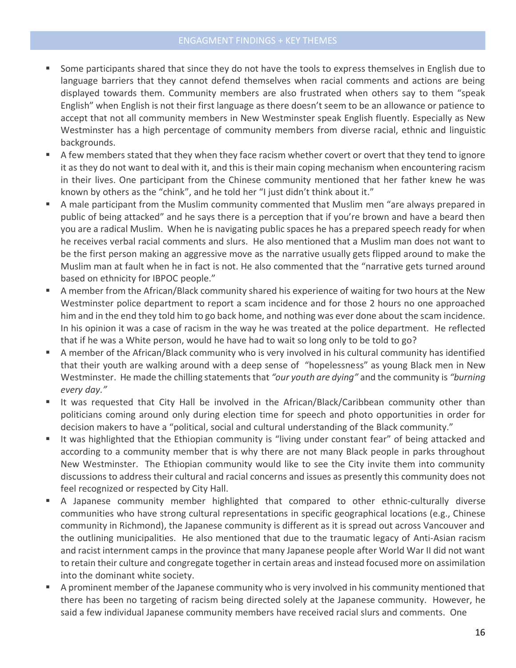- Some participants shared that since they do not have the tools to express themselves in English due to language barriers that they cannot defend themselves when racial comments and actions are being displayed towards them. Community members are also frustrated when others say to them "speak English" when English is not their first language as there doesn't seem to be an allowance or patience to accept that not all community members in New Westminster speak English fluently. Especially as New Westminster has a high percentage of community members from diverse racial, ethnic and linguistic backgrounds.
- A few members stated that they when they face racism whether covert or overt that they tend to ignore it as they do not want to deal with it, and this is their main coping mechanism when encountering racism in their lives. One participant from the Chinese community mentioned that her father knew he was known by others as the "chink", and he told her "I just didn't think about it."
- A male participant from the Muslim community commented that Muslim men "are always prepared in public of being attacked" and he says there is a perception that if you're brown and have a beard then you are a radical Muslim. When he is navigating public spaces he has a prepared speech ready for when he receives verbal racial comments and slurs. He also mentioned that a Muslim man does not want to be the first person making an aggressive move as the narrative usually gets flipped around to make the Muslim man at fault when he in fact is not. He also commented that the "narrative gets turned around based on ethnicity for IBPOC people."
- A member from the African/Black community shared his experience of waiting for two hours at the New Westminster police department to report a scam incidence and for those 2 hours no one approached him and in the end they told him to go back home, and nothing was ever done about the scam incidence. In his opinion it was a case of racism in the way he was treated at the police department. He reflected that if he was a White person, would he have had to wait so long only to be told to go?
- A member of the African/Black community who is very involved in his cultural community has identified that their youth are walking around with a deep sense of "hopelessness" as young Black men in New Westminster. He made the chilling statements that *"our youth are dying"* and the community is *"burning every day."*
- It was requested that City Hall be involved in the African/Black/Caribbean community other than politicians coming around only during election time for speech and photo opportunities in order for decision makers to have a "political, social and cultural understanding of the Black community."
- It was highlighted that the Ethiopian community is "living under constant fear" of being attacked and according to a community member that is why there are not many Black people in parks throughout New Westminster. The Ethiopian community would like to see the City invite them into community discussions to address their cultural and racial concerns and issues as presently this community does not feel recognized or respected by City Hall.
- A Japanese community member highlighted that compared to other ethnic-culturally diverse communities who have strong cultural representations in specific geographical locations (e.g., Chinese community in Richmond), the Japanese community is different as it is spread out across Vancouver and the outlining municipalities. He also mentioned that due to the traumatic legacy of Anti-Asian racism and racist internment camps in the province that many Japanese people after World War II did not want to retain their culture and congregate together in certain areas and instead focused more on assimilation into the dominant white society.
- A prominent member of the Japanese community who is very involved in his community mentioned that there has been no targeting of racism being directed solely at the Japanese community. However, he said a few individual Japanese community members have received racial slurs and comments. One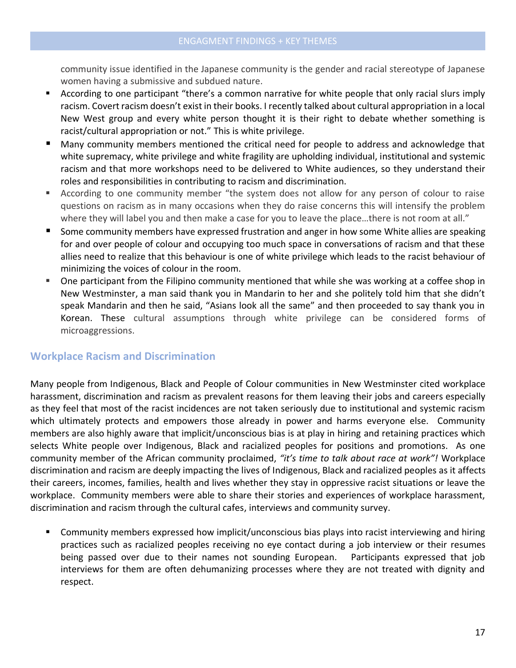community issue identified in the Japanese community is the gender and racial stereotype of Japanese women having a submissive and subdued nature.

- According to one participant "there's a common narrative for white people that only racial slurs imply racism. Covert racism doesn't exist in their books. I recently talked about cultural appropriation in a local New West group and every white person thought it is their right to debate whether something is racist/cultural appropriation or not." This is white privilege.
- Many community members mentioned the critical need for people to address and acknowledge that white supremacy, white privilege and white fragility are upholding individual, institutional and systemic racism and that more workshops need to be delivered to White audiences, so they understand their roles and responsibilities in contributing to racism and discrimination.
- According to one community member "the system does not allow for any person of colour to raise questions on racism as in many occasions when they do raise concerns this will intensify the problem where they will label you and then make a case for you to leave the place...there is not room at all."
- Some community members have expressed frustration and anger in how some White allies are speaking for and over people of colour and occupying too much space in conversations of racism and that these allies need to realize that this behaviour is one of white privilege which leads to the racist behaviour of minimizing the voices of colour in the room.
- One participant from the Filipino community mentioned that while she was working at a coffee shop in New Westminster, a man said thank you in Mandarin to her and she politely told him that she didn't speak Mandarin and then he said, "Asians look all the same" and then proceeded to say thank you in Korean. These cultural assumptions through white privilege can be considered forms of microaggressions.

# **Workplace Racism and Discrimination**

Many people from Indigenous, Black and People of Colour communities in New Westminster cited workplace harassment, discrimination and racism as prevalent reasons for them leaving their jobs and careers especially as they feel that most of the racist incidences are not taken seriously due to institutional and systemic racism which ultimately protects and empowers those already in power and harms everyone else. Community members are also highly aware that implicit/unconscious bias is at play in hiring and retaining practices which selects White people over Indigenous, Black and racialized peoples for positions and promotions. As one community member of the African community proclaimed, *"it's time to talk about race at work"!* Workplace discrimination and racism are deeply impacting the lives of Indigenous, Black and racialized peoples as it affects their careers, incomes, families, health and lives whether they stay in oppressive racist situations or leave the workplace. Community members were able to share their stories and experiences of workplace harassment, discrimination and racism through the cultural cafes, interviews and community survey.

Community members expressed how implicit/unconscious bias plays into racist interviewing and hiring practices such as racialized peoples receiving no eye contact during a job interview or their resumes being passed over due to their names not sounding European. Participants expressed that job interviews for them are often dehumanizing processes where they are not treated with dignity and respect.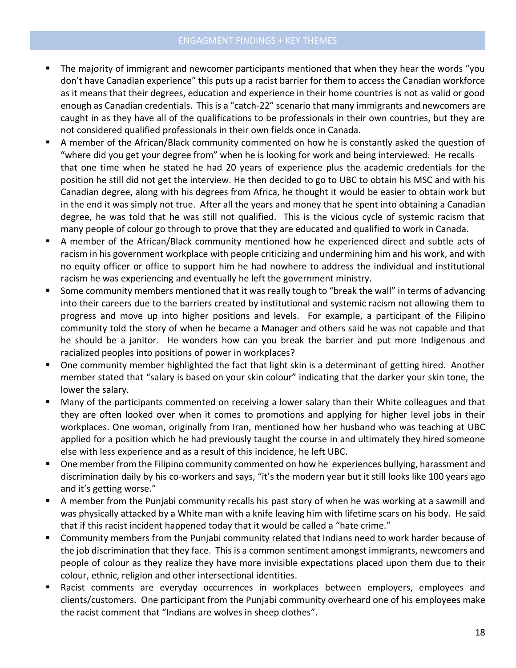- The majority of immigrant and newcomer participants mentioned that when they hear the words "you don't have Canadian experience" this puts up a racist barrier for them to access the Canadian workforce as it means that their degrees, education and experience in their home countries is not as valid or good enough as Canadian credentials. This is a "catch-22" scenario that many immigrants and newcomers are caught in as they have all of the qualifications to be professionals in their own countries, but they are not considered qualified professionals in their own fields once in Canada.
- A member of the African/Black community commented on how he is constantly asked the question of "where did you get your degree from" when he is looking for work and being interviewed. He recalls that one time when he stated he had 20 years of experience plus the academic credentials for the position he still did not get the interview. He then decided to go to UBC to obtain his MSC and with his Canadian degree, along with his degrees from Africa, he thought it would be easier to obtain work but in the end it was simply not true. After all the years and money that he spent into obtaining a Canadian degree, he was told that he was still not qualified. This is the vicious cycle of systemic racism that many people of colour go through to prove that they are educated and qualified to work in Canada.
- A member of the African/Black community mentioned how he experienced direct and subtle acts of racism in his government workplace with people criticizing and undermining him and his work, and with no equity officer or office to support him he had nowhere to address the individual and institutional racism he was experiencing and eventually he left the government ministry.
- Some community members mentioned that it was really tough to "break the wall" in terms of advancing into their careers due to the barriers created by institutional and systemic racism not allowing them to progress and move up into higher positions and levels. For example, a participant of the Filipino community told the story of when he became a Manager and others said he was not capable and that he should be a janitor. He wonders how can you break the barrier and put more Indigenous and racialized peoples into positions of power in workplaces?
- One community member highlighted the fact that light skin is a determinant of getting hired. Another member stated that "salary is based on your skin colour" indicating that the darker your skin tone, the lower the salary.
- Many of the participants commented on receiving a lower salary than their White colleagues and that they are often looked over when it comes to promotions and applying for higher level jobs in their workplaces. One woman, originally from Iran, mentioned how her husband who was teaching at UBC applied for a position which he had previously taught the course in and ultimately they hired someone else with less experience and as a result of this incidence, he left UBC.
- One member from the Filipino community commented on how he experiences bullying, harassment and discrimination daily by his co-workers and says, "it's the modern year but it still looks like 100 years ago and it's getting worse."
- **E** A member from the Punjabi community recalls his past story of when he was working at a sawmill and was physically attacked by a White man with a knife leaving him with lifetime scars on his body. He said that if this racist incident happened today that it would be called a "hate crime."
- Community members from the Punjabi community related that Indians need to work harder because of the job discrimination that they face. This is a common sentiment amongst immigrants, newcomers and people of colour as they realize they have more invisible expectations placed upon them due to their colour, ethnic, religion and other intersectional identities.
- Racist comments are everyday occurrences in workplaces between employers, employees and clients/customers. One participant from the Punjabi community overheard one of his employees make the racist comment that "Indians are wolves in sheep clothes".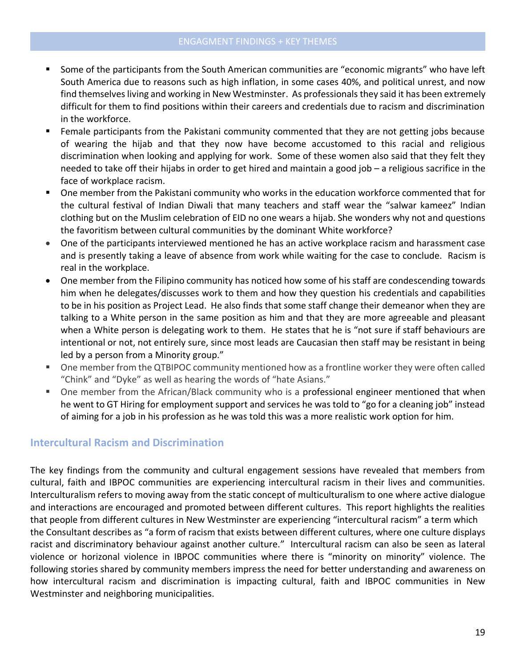- Some of the participants from the South American communities are "economic migrants" who have left South America due to reasons such as high inflation, in some cases 40%, and political unrest, and now find themselves living and working in New Westminster. As professionals they said it has been extremely difficult for them to find positions within their careers and credentials due to racism and discrimination in the workforce.
- Female participants from the Pakistani community commented that they are not getting jobs because of wearing the hijab and that they now have become accustomed to this racial and religious discrimination when looking and applying for work. Some of these women also said that they felt they needed to take off their hijabs in order to get hired and maintain a good job – a religious sacrifice in the face of workplace racism.
- One member from the Pakistani community who works in the education workforce commented that for the cultural festival of Indian Diwali that many teachers and staff wear the "salwar kameez" Indian clothing but on the Muslim celebration of EID no one wears a hijab. She wonders why not and questions the favoritism between cultural communities by the dominant White workforce?
- One of the participants interviewed mentioned he has an active workplace racism and harassment case and is presently taking a leave of absence from work while waiting for the case to conclude. Racism is real in the workplace.
- One member from the Filipino community has noticed how some of his staff are condescending towards him when he delegates/discusses work to them and how they question his credentials and capabilities to be in his position as Project Lead. He also finds that some staff change their demeanor when they are talking to a White person in the same position as him and that they are more agreeable and pleasant when a White person is delegating work to them. He states that he is "not sure if staff behaviours are intentional or not, not entirely sure, since most leads are Caucasian then staff may be resistant in being led by a person from a Minority group."
- One member from the QTBIPOC community mentioned how as a frontline worker they were often called "Chink" and "Dyke" as well as hearing the words of "hate Asians."
- One member from the African/Black community who is a professional engineer mentioned that when he went to GT Hiring for employment support and services he was told to "go for a cleaning job" instead of aiming for a job in his profession as he was told this was a more realistic work option for him.

## **Intercultural Racism and Discrimination**

The key findings from the community and cultural engagement sessions have revealed that members from cultural, faith and IBPOC communities are experiencing intercultural racism in their lives and communities. Interculturalism refers to moving away from the static concept of multiculturalism to one where active dialogue and interactions are encouraged and promoted between different cultures. This report highlights the realities that people from different cultures in New Westminster are experiencing "intercultural racism" a term which the Consultant describes as "a form of racism that exists between different cultures, where one culture displays racist and discriminatory behaviour against another culture." Intercultural racism can also be seen as lateral violence or horizonal violence in IBPOC communities where there is "minority on minority" violence. The following stories shared by community members impress the need for better understanding and awareness on how intercultural racism and discrimination is impacting cultural, faith and IBPOC communities in New Westminster and neighboring municipalities.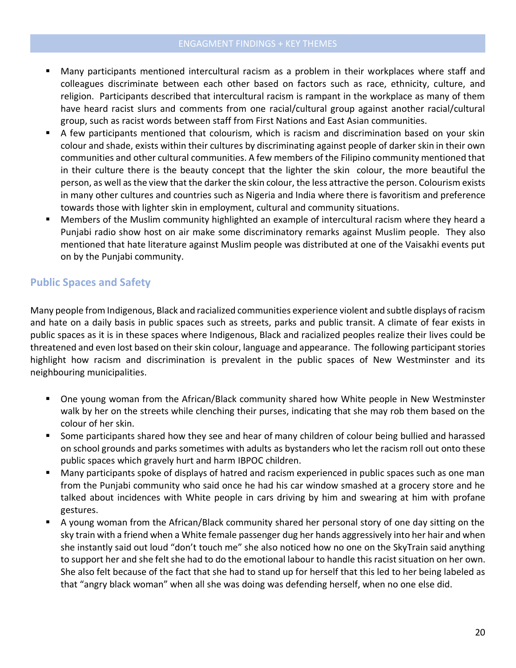- Many participants mentioned intercultural racism as a problem in their workplaces where staff and colleagues discriminate between each other based on factors such as race, ethnicity, culture, and religion. Participants described that intercultural racism is rampant in the workplace as many of them have heard racist slurs and comments from one racial/cultural group against another racial/cultural group, such as racist words between staff from First Nations and East Asian communities.
- A few participants mentioned that colourism, which is racism and discrimination based on your skin colour and shade, exists within their cultures by discriminating against people of darker skin in their own communities and other cultural communities. A few members of the Filipino community mentioned that in their culture there is the beauty concept that the lighter the skin colour, the more beautiful the person, as well as the view that the darker the skin colour, the less attractive the person. Colourism exists in many other cultures and countries such as Nigeria and India where there is favoritism and preference towards those with lighter skin in employment, cultural and community situations.
- Members of the Muslim community highlighted an example of intercultural racism where they heard a Punjabi radio show host on air make some discriminatory remarks against Muslim people. They also mentioned that hate literature against Muslim people was distributed at one of the Vaisakhi events put on by the Punjabi community.

# **Public Spaces and Safety**

Many people from Indigenous, Black and racialized communities experience violent and subtle displays of racism and hate on a daily basis in public spaces such as streets, parks and public transit. A climate of fear exists in public spaces as it is in these spaces where Indigenous, Black and racialized peoples realize their lives could be threatened and even lost based on their skin colour, language and appearance. The following participant stories highlight how racism and discrimination is prevalent in the public spaces of New Westminster and its neighbouring municipalities.

- One young woman from the African/Black community shared how White people in New Westminster walk by her on the streets while clenching their purses, indicating that she may rob them based on the colour of her skin.
- Some participants shared how they see and hear of many children of colour being bullied and harassed on school grounds and parks sometimes with adults as bystanders who let the racism roll out onto these public spaces which gravely hurt and harm IBPOC children.
- Many participants spoke of displays of hatred and racism experienced in public spaces such as one man from the Punjabi community who said once he had his car window smashed at a grocery store and he talked about incidences with White people in cars driving by him and swearing at him with profane gestures.
- A young woman from the African/Black community shared her personal story of one day sitting on the sky train with a friend when a White female passenger dug her hands aggressively into her hair and when she instantly said out loud "don't touch me" she also noticed how no one on the SkyTrain said anything to support her and she felt she had to do the emotional labour to handle this racist situation on her own. She also felt because of the fact that she had to stand up for herself that this led to her being labeled as that "angry black woman" when all she was doing was defending herself, when no one else did.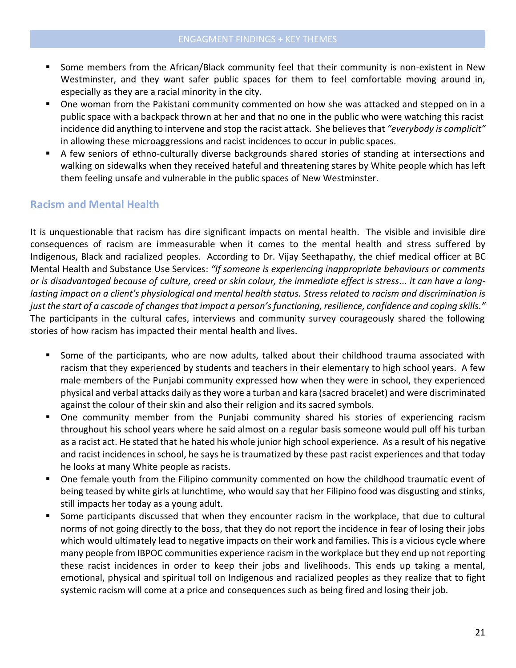- Some members from the African/Black community feel that their community is non-existent in New Westminster, and they want safer public spaces for them to feel comfortable moving around in, especially as they are a racial minority in the city.
- One woman from the Pakistani community commented on how she was attacked and stepped on in a public space with a backpack thrown at her and that no one in the public who were watching this racist incidence did anything to intervene and stop the racist attack. She believes that *"everybody is complicit"* in allowing these microaggressions and racist incidences to occur in public spaces.
- A few seniors of ethno-culturally diverse backgrounds shared stories of standing at intersections and walking on sidewalks when they received hateful and threatening stares by White people which has left them feeling unsafe and vulnerable in the public spaces of New Westminster.

## **Racism and Mental Health**

It is unquestionable that racism has dire significant impacts on mental health. The visible and invisible dire consequences of racism are immeasurable when it comes to the mental health and stress suffered by Indigenous, Black and racialized peoples. According to Dr. Vijay Seethapathy, the chief medical officer at BC Mental Health and Substance Use Services: *"If someone is experiencing inappropriate behaviours or comments or is disadvantaged because of culture, creed or skin colour, the immediate effect is stress... it can have a longlasting impact on a client's physiological and mental health status. Stress related to racism and discrimination is*  just the start of a cascade of changes that impact a person's functioning, resilience, confidence and coping skills." The participants in the cultural cafes, interviews and community survey courageously shared the following stories of how racism has impacted their mental health and lives.

- Some of the participants, who are now adults, talked about their childhood trauma associated with racism that they experienced by students and teachers in their elementary to high school years. A few male members of the Punjabi community expressed how when they were in school, they experienced physical and verbal attacks daily as they wore a turban and kara (sacred bracelet) and were discriminated against the colour of their skin and also their religion and its sacred symbols.
- One community member from the Punjabi community shared his stories of experiencing racism throughout his school years where he said almost on a regular basis someone would pull off his turban as a racist act. He stated that he hated his whole junior high school experience. As a result of his negative and racist incidences in school, he says he is traumatized by these past racist experiences and that today he looks at many White people as racists.
- One female youth from the Filipino community commented on how the childhood traumatic event of being teased by white girls at lunchtime, who would say that her Filipino food was disgusting and stinks, still impacts her today as a young adult.
- Some participants discussed that when they encounter racism in the workplace, that due to cultural norms of not going directly to the boss, that they do not report the incidence in fear of losing their jobs which would ultimately lead to negative impacts on their work and families. This is a vicious cycle where many people from IBPOC communities experience racism in the workplace but they end up not reporting these racist incidences in order to keep their jobs and livelihoods. This ends up taking a mental, emotional, physical and spiritual toll on Indigenous and racialized peoples as they realize that to fight systemic racism will come at a price and consequences such as being fired and losing their job.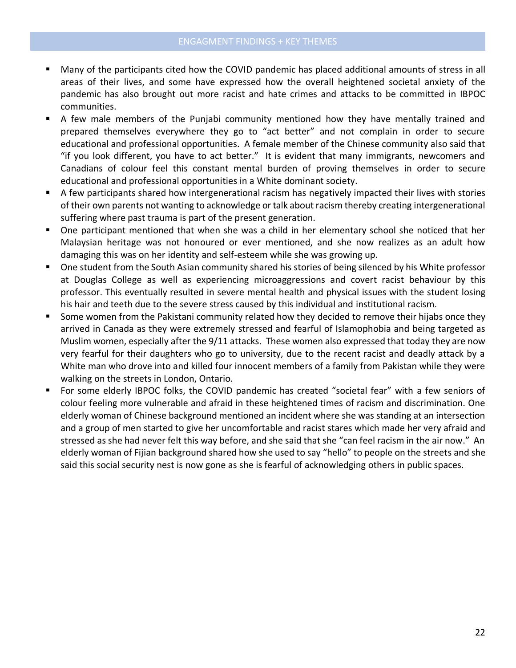- Many of the participants cited how the COVID pandemic has placed additional amounts of stress in all areas of their lives, and some have expressed how the overall heightened societal anxiety of the pandemic has also brought out more racist and hate crimes and attacks to be committed in IBPOC communities.
- A few male members of the Punjabi community mentioned how they have mentally trained and prepared themselves everywhere they go to "act better" and not complain in order to secure educational and professional opportunities. A female member of the Chinese community also said that "if you look different, you have to act better." It is evident that many immigrants, newcomers and Canadians of colour feel this constant mental burden of proving themselves in order to secure educational and professional opportunities in a White dominant society.
- A few participants shared how intergenerational racism has negatively impacted their lives with stories of their own parents not wanting to acknowledge or talk about racism thereby creating intergenerational suffering where past trauma is part of the present generation.
- One participant mentioned that when she was a child in her elementary school she noticed that her Malaysian heritage was not honoured or ever mentioned, and she now realizes as an adult how damaging this was on her identity and self-esteem while she was growing up.
- One student from the South Asian community shared his stories of being silenced by his White professor at Douglas College as well as experiencing microaggressions and covert racist behaviour by this professor. This eventually resulted in severe mental health and physical issues with the student losing his hair and teeth due to the severe stress caused by this individual and institutional racism.
- Some women from the Pakistani community related how they decided to remove their hijabs once they arrived in Canada as they were extremely stressed and fearful of Islamophobia and being targeted as Muslim women, especially after the 9/11 attacks. These women also expressed that today they are now very fearful for their daughters who go to university, due to the recent racist and deadly attack by a White man who drove into and killed four innocent members of a family from Pakistan while they were walking on the streets in London, Ontario.
- For some elderly IBPOC folks, the COVID pandemic has created "societal fear" with a few seniors of colour feeling more vulnerable and afraid in these heightened times of racism and discrimination. One elderly woman of Chinese background mentioned an incident where she was standing at an intersection and a group of men started to give her uncomfortable and racist stares which made her very afraid and stressed as she had never felt this way before, and she said that she "can feel racism in the air now." An elderly woman of Fijian background shared how she used to say "hello" to people on the streets and she said this social security nest is now gone as she is fearful of acknowledging others in public spaces.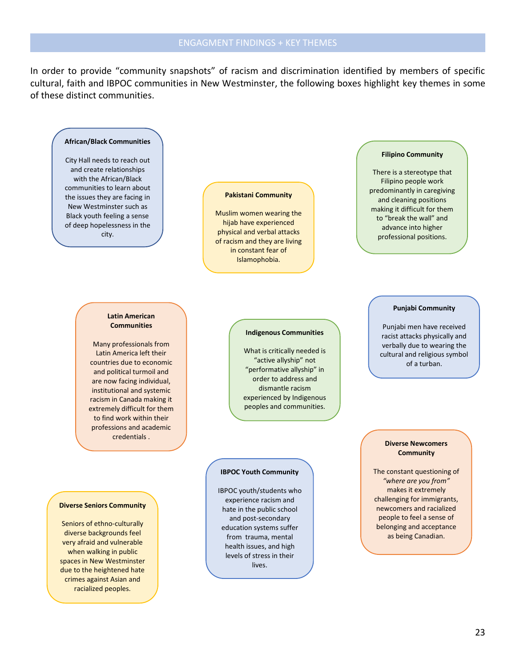In order to provide "community snapshots" of racism and discrimination identified by members of specific cultural, faith and IBPOC communities in New Westminster, the following boxes highlight key themes in some of these distinct communities.

#### **African/Black Communities**

City Hall needs to reach out and create relationships with the African/Black communities to learn about the issues they are facing in New Westminster such as Black youth feeling a sense of deep hopelessness in the city.

#### **Pakistani Community**

Muslim women wearing the hijab have experienced physical and verbal attacks of racism and they are living in constant fear of Islamophobia.

#### **Filipino Community**

There is a stereotype that Filipino people work predominantly in caregiving and cleaning positions making it difficult for them to "break the wall" and advance into higher professional positions.

#### **Latin American Communities**

Many professionals from Latin America left their countries due to economic and political turmoil and are now facing individual, institutional and systemic racism in Canada making it extremely difficult for them to find work within their professions and academic credentials .

**Diverse Seniors Community**

Seniors of ethno-culturally diverse backgrounds feel very afraid and vulnerable when walking in public spaces in New Westminster due to the heightened hate crimes against Asian and racialized peoples.

#### **Indigenous Communities**

What is critically needed is "active allyship" not "performative allyship" in order to address and dismantle racism experienced by Indigenous peoples and communities.

#### **IBPOC Youth Community**

IBPOC youth/students who experience racism and hate in the public school and post-secondary education systems suffer from trauma, mental health issues, and high levels of stress in their lives.

#### **Punjabi Community**

Punjabi men have received racist attacks physically and verbally due to wearing the cultural and religious symbol of a turban.

#### **Diverse Newcomers Community**

The constant questioning of *"where are you from"* makes it extremely challenging for immigrants, newcomers and racialized people to feel a sense of belonging and acceptance as being Canadian.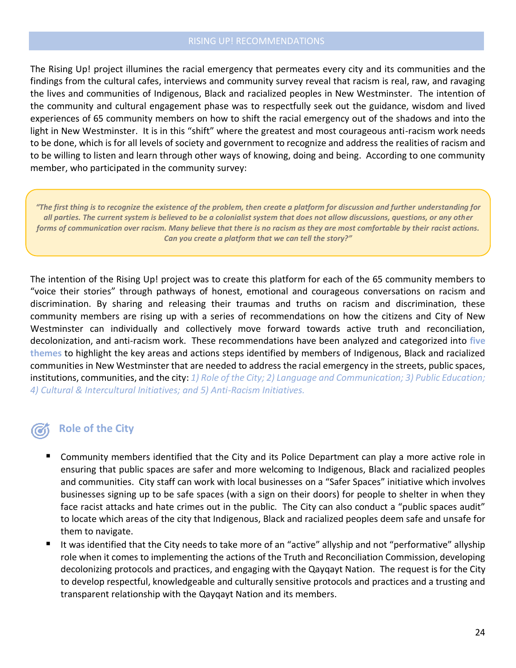The Rising Up! project illumines the racial emergency that permeates every city and its communities and the findings from the cultural cafes, interviews and community survey reveal that racism is real, raw, and ravaging the lives and communities of Indigenous, Black and racialized peoples in New Westminster. The intention of the community and cultural engagement phase was to respectfully seek out the guidance, wisdom and lived experiences of 65 community members on how to shift the racial emergency out of the shadows and into the light in New Westminster. It is in this "shift" where the greatest and most courageous anti-racism work needs to be done, which is for all levels of society and government to recognize and address the realities of racism and to be willing to listen and learn through other ways of knowing, doing and being. According to one community member, who participated in the community survey:

*"The first thing is to recognize the existence of the problem, then create a platform for discussion and further understanding for all parties. The current system is believed to be a colonialist system that does not allow discussions, questions, or any other forms of communication over racism. Many believe that there is no racism as they are most comfortable by their racist actions. Can you create a platform that we can tell the story?"*

The intention of the Rising Up! project was to create this platform for each of the 65 community members to "voice their stories" through pathways of honest, emotional and courageous conversations on racism and discrimination. By sharing and releasing their traumas and truths on racism and discrimination, these community members are rising up with a series of recommendations on how the citizens and City of New Westminster can individually and collectively move forward towards active truth and reconciliation, decolonization, and anti-racism work. These recommendations have been analyzed and categorized into **five themes** to highlight the key areas and actions steps identified by members of Indigenous, Black and racialized communities in New Westminster that are needed to address the racial emergency in the streets, public spaces, institutions, communities, and the city: *1) Role of the City; 2) Language and Communication; 3) Public Education; 4) Cultural & Intercultural Initiatives; and 5) Anti-Racism Initiatives.*

# **Role of the City**

- Community members identified that the City and its Police Department can play a more active role in ensuring that public spaces are safer and more welcoming to Indigenous, Black and racialized peoples and communities. City staff can work with local businesses on a "Safer Spaces" initiative which involves businesses signing up to be safe spaces (with a sign on their doors) for people to shelter in when they face racist attacks and hate crimes out in the public. The City can also conduct a "public spaces audit" to locate which areas of the city that Indigenous, Black and racialized peoples deem safe and unsafe for them to navigate.
- It was identified that the City needs to take more of an "active" allyship and not "performative" allyship role when it comes to implementing the actions of the Truth and Reconciliation Commission, developing decolonizing protocols and practices, and engaging with the Qayqayt Nation. The request is for the City to develop respectful, knowledgeable and culturally sensitive protocols and practices and a trusting and transparent relationship with the Qayqayt Nation and its members.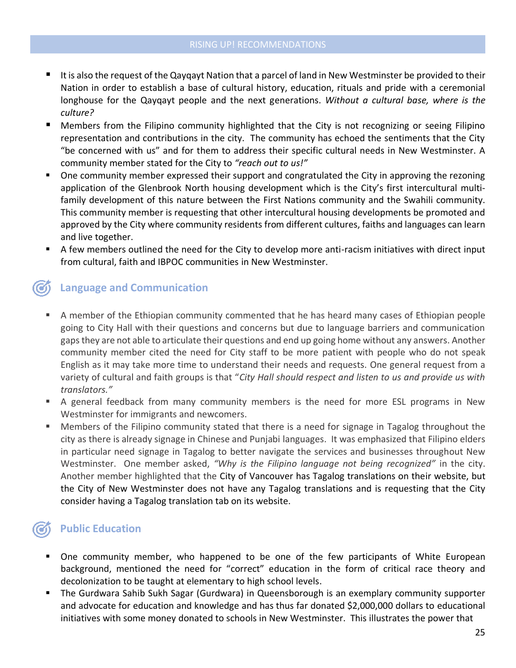- It is also the request of the Qayqayt Nation that a parcel of land in New Westminster be provided to their Nation in order to establish a base of cultural history, education, rituals and pride with a ceremonial longhouse for the Qayqayt people and the next generations. *Without a cultural base, where is the culture?*
- Members from the Filipino community highlighted that the City is not recognizing or seeing Filipino representation and contributions in the city. The community has echoed the sentiments that the City "be concerned with us" and for them to address their specific cultural needs in New Westminster. A community member stated for the City to *"reach out to us!"*
- One community member expressed their support and congratulated the City in approving the rezoning application of the Glenbrook North housing development which is the City's first intercultural multifamily development of this nature between the First Nations community and the Swahili community. This community member is requesting that other intercultural housing developments be promoted and approved by the City where community residents from different cultures, faiths and languages can learn and live together.
- A few members outlined the need for the City to develop more anti-racism initiatives with direct input from cultural, faith and IBPOC communities in New Westminster.

# **Language and Communication**

- A member of the Ethiopian community commented that he has heard many cases of Ethiopian people going to City Hall with their questions and concerns but due to language barriers and communication gaps they are not able to articulate their questions and end up going home without any answers. Another community member cited the need for City staff to be more patient with people who do not speak English as it may take more time to understand their needs and requests. One general request from a variety of cultural and faith groups is that "*City Hall should respect and listen to us and provide us with translators."*
- A general feedback from many community members is the need for more ESL programs in New Westminster for immigrants and newcomers.
- Members of the Filipino community stated that there is a need for signage in Tagalog throughout the city as there is already signage in Chinese and Punjabi languages. It was emphasized that Filipino elders in particular need signage in Tagalog to better navigate the services and businesses throughout New Westminster. One member asked, *"Why is the Filipino language not being recognized"* in the city. Another member highlighted that the City of Vancouver has Tagalog translations on their website, but the City of New Westminster does not have any Tagalog translations and is requesting that the City consider having a Tagalog translation tab on its website.

# **Public Education**

- One community member, who happened to be one of the few participants of White European background, mentioned the need for "correct" education in the form of critical race theory and decolonization to be taught at elementary to high school levels.
- The Gurdwara Sahib Sukh Sagar (Gurdwara) in Queensborough is an exemplary community supporter and advocate for education and knowledge and has thus far donated \$2,000,000 dollars to educational initiatives with some money donated to schools in New Westminster. This illustrates the power that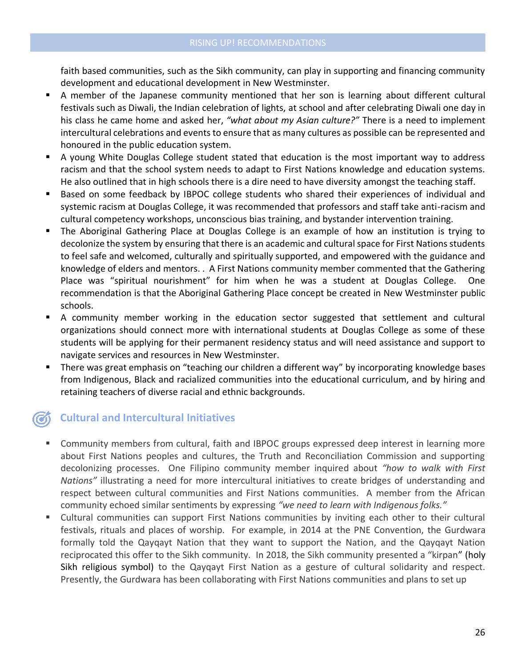faith based communities, such as the Sikh community, can play in supporting and financing community development and educational development in New Westminster.

- A member of the Japanese community mentioned that her son is learning about different cultural festivals such as Diwali, the Indian celebration of lights, at school and after celebrating Diwali one day in his class he came home and asked her, *"what about my Asian culture?"* There is a need to implement intercultural celebrations and events to ensure that as many cultures as possible can be represented and honoured in the public education system.
- A young White Douglas College student stated that education is the most important way to address racism and that the school system needs to adapt to First Nations knowledge and education systems. He also outlined that in high schools there is a dire need to have diversity amongst the teaching staff.
- Based on some feedback by IBPOC college students who shared their experiences of individual and systemic racism at Douglas College, it was recommended that professors and staff take anti-racism and cultural competency workshops, unconscious bias training, and bystander intervention training.
- **•** The Aboriginal Gathering Place at Douglas College is an example of how an institution is trying to decolonize the system by ensuring that there is an academic and cultural space for First Nations students to feel safe and welcomed, culturally and spiritually supported, and empowered with the guidance and knowledge of elders and mentors. . A First Nations community member commented that the Gathering Place was "spiritual nourishment" for him when he was a student at Douglas College. One recommendation is that the Aboriginal Gathering Place concept be created in New Westminster public schools.
- A community member working in the education sector suggested that settlement and cultural organizations should connect more with international students at Douglas College as some of these students will be applying for their permanent residency status and will need assistance and support to navigate services and resources in New Westminster.
- There was great emphasis on "teaching our children a different way" by incorporating knowledge bases from Indigenous, Black and racialized communities into the educational curriculum, and by hiring and retaining teachers of diverse racial and ethnic backgrounds.

# **Cultural and Intercultural Initiatives**

- Community members from cultural, faith and IBPOC groups expressed deep interest in learning more about First Nations peoples and cultures, the Truth and Reconciliation Commission and supporting decolonizing processes. One Filipino community member inquired about *"how to walk with First Nations"* illustrating a need for more intercultural initiatives to create bridges of understanding and respect between cultural communities and First Nations communities. A member from the African community echoed similar sentiments by expressing *"we need to learn with Indigenous folks."*
- Cultural communities can support First Nations communities by inviting each other to their cultural festivals, rituals and places of worship. For example, in 2014 at the PNE Convention, the Gurdwara formally told the Qayqayt Nation that they want to support the Nation, and the Qayqayt Nation reciprocated this offer to the Sikh community. In 2018, the Sikh community presented a "kirpan" (holy Sikh religious symbol) to the Qayqayt First Nation as a gesture of cultural solidarity and respect. Presently, the Gurdwara has been collaborating with First Nations communities and plans to set up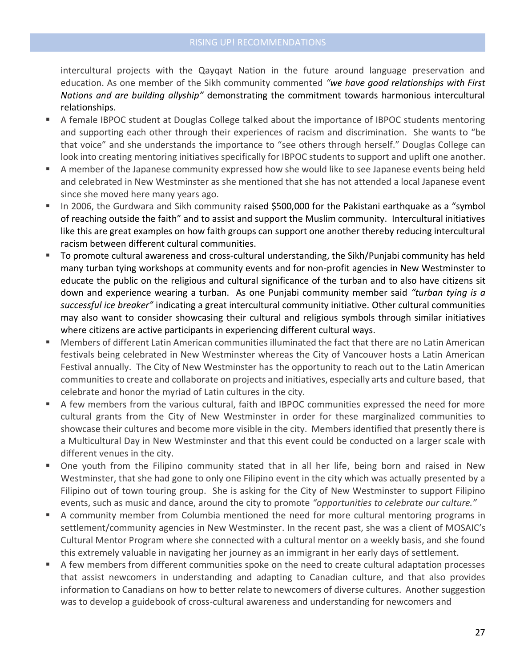intercultural projects with the Qayqayt Nation in the future around language preservation and education. As one member of the Sikh community commented *"we have good relationships with First Nations and are building allyship"* demonstrating the commitment towards harmonious intercultural relationships.

- A female IBPOC student at Douglas College talked about the importance of IBPOC students mentoring and supporting each other through their experiences of racism and discrimination. She wants to "be that voice" and she understands the importance to "see others through herself." Douglas College can look into creating mentoring initiatives specifically for IBPOC students to support and uplift one another.
- A member of the Japanese community expressed how she would like to see Japanese events being held and celebrated in New Westminster as she mentioned that she has not attended a local Japanese event since she moved here many years ago.
- In 2006, the Gurdwara and Sikh community raised \$500,000 for the Pakistani earthquake as a "symbol of reaching outside the faith" and to assist and support the Muslim community. Intercultural initiatives like this are great examples on how faith groups can support one another thereby reducing intercultural racism between different cultural communities.
- To promote cultural awareness and cross-cultural understanding, the Sikh/Punjabi community has held many turban tying workshops at community events and for non-profit agencies in New Westminster to educate the public on the religious and cultural significance of the turban and to also have citizens sit down and experience wearing a turban. As one Punjabi community member said *"turban tying is a successful ice breaker"* indicating a great intercultural community initiative. Other cultural communities may also want to consider showcasing their cultural and religious symbols through similar initiatives where citizens are active participants in experiencing different cultural ways.
- Members of different Latin American communities illuminated the fact that there are no Latin American festivals being celebrated in New Westminster whereas the City of Vancouver hosts a Latin American Festival annually. The City of New Westminster has the opportunity to reach out to the Latin American communities to create and collaborate on projects and initiatives, especially arts and culture based, that celebrate and honor the myriad of Latin cultures in the city.
- A few members from the various cultural, faith and IBPOC communities expressed the need for more cultural grants from the City of New Westminster in order for these marginalized communities to showcase their cultures and become more visible in the city. Members identified that presently there is a Multicultural Day in New Westminster and that this event could be conducted on a larger scale with different venues in the city.
- One youth from the Filipino community stated that in all her life, being born and raised in New Westminster, that she had gone to only one Filipino event in the city which was actually presented by a Filipino out of town touring group. She is asking for the City of New Westminster to support Filipino events, such as music and dance, around the city to promote *"opportunities to celebrate our culture."*
- **A community member from Columbia mentioned the need for more cultural mentoring programs in** settlement/community agencies in New Westminster. In the recent past, she was a client of MOSAIC's Cultural Mentor Program where she connected with a cultural mentor on a weekly basis, and she found this extremely valuable in navigating her journey as an immigrant in her early days of settlement.
- A few members from different communities spoke on the need to create cultural adaptation processes that assist newcomers in understanding and adapting to Canadian culture, and that also provides information to Canadians on how to better relate to newcomers of diverse cultures. Another suggestion was to develop a guidebook of cross-cultural awareness and understanding for newcomers and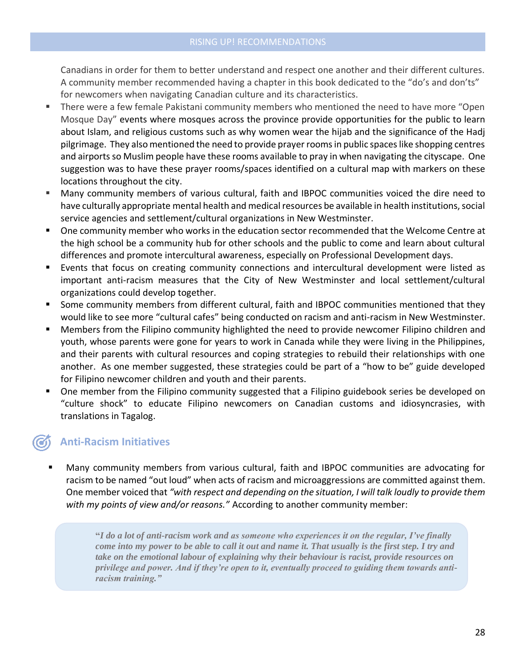Canadians in order for them to better understand and respect one another and their different cultures. A community member recommended having a chapter in this book dedicated to the "do's and don'ts" for newcomers when navigating Canadian culture and its characteristics.

- There were a few female Pakistani community members who mentioned the need to have more "Open Mosque Day" events where mosques across the province provide opportunities for the public to learn about Islam, and religious customs such as why women wear the hijab and the significance of the Hadj pilgrimage. They also mentioned the need to provide prayer rooms in public spaces like shopping centres and airports so Muslim people have these rooms available to pray in when navigating the cityscape. One suggestion was to have these prayer rooms/spaces identified on a cultural map with markers on these locations throughout the city.
- Many community members of various cultural, faith and IBPOC communities voiced the dire need to have culturally appropriate mental health and medical resources be available in health institutions, social service agencies and settlement/cultural organizations in New Westminster.
- One community member who works in the education sector recommended that the Welcome Centre at the high school be a community hub for other schools and the public to come and learn about cultural differences and promote intercultural awareness, especially on Professional Development days.
- Events that focus on creating community connections and intercultural development were listed as important anti-racism measures that the City of New Westminster and local settlement/cultural organizations could develop together.
- Some community members from different cultural, faith and IBPOC communities mentioned that they would like to see more "cultural cafes" being conducted on racism and anti-racism in New Westminster.
- Members from the Filipino community highlighted the need to provide newcomer Filipino children and youth, whose parents were gone for years to work in Canada while they were living in the Philippines, and their parents with cultural resources and coping strategies to rebuild their relationships with one another. As one member suggested, these strategies could be part of a "how to be" guide developed for Filipino newcomer children and youth and their parents.
- One member from the Filipino community suggested that a Filipino guidebook series be developed on "culture shock" to educate Filipino newcomers on Canadian customs and idiosyncrasies, with translations in Tagalog.

# **Anti-Racism Initiatives**

Many community members from various cultural, faith and IBPOC communities are advocating for racism to be named "out loud" when acts of racism and microaggressions are committed against them. One member voiced that *"with respect and depending on the situation, I will talk loudly to provide them with my points of view and/or reasons."* According to another community member:

> **"***I do a lot of anti-racism work and as someone who experiences it on the regular, I've finally come into my power to be able to call it out and name it. That usually is the first step. I try and take on the emotional labour of explaining why their behaviour is racist, provide resources on privilege and power. And if they're open to it, eventually proceed to guiding them towards antiracism training."*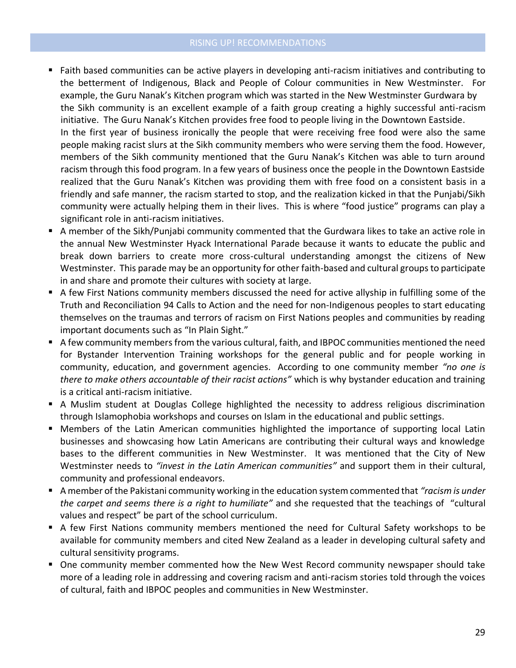#### RISING UP! RECOMMENDATIONS

- Faith based communities can be active players in developing anti-racism initiatives and contributing to the betterment of Indigenous, Black and People of Colour communities in New Westminster. For example, the Guru Nanak's Kitchen program which was started in the New Westminster Gurdwara by the Sikh community is an excellent example of a faith group creating a highly successful anti-racism initiative. The Guru Nanak's Kitchen provides free food to people living in the Downtown Eastside. In the first year of business ironically the people that were receiving free food were also the same people making racist slurs at the Sikh community members who were serving them the food. However, members of the Sikh community mentioned that the Guru Nanak's Kitchen was able to turn around racism through this food program. In a few years of business once the people in the Downtown Eastside realized that the Guru Nanak's Kitchen was providing them with free food on a consistent basis in a friendly and safe manner, the racism started to stop, and the realization kicked in that the Punjabi/Sikh community were actually helping them in their lives. This is where "food justice" programs can play a significant role in anti-racism initiatives.
- A member of the Sikh/Punjabi community commented that the Gurdwara likes to take an active role in the annual New Westminster Hyack International Parade because it wants to educate the public and break down barriers to create more cross-cultural understanding amongst the citizens of New Westminster. This parade may be an opportunity for other faith-based and cultural groups to participate in and share and promote their cultures with society at large.
- A few First Nations community members discussed the need for active allyship in fulfilling some of the Truth and Reconciliation 94 Calls to Action and the need for non-Indigenous peoples to start educating themselves on the traumas and terrors of racism on First Nations peoples and communities by reading important documents such as "In Plain Sight."
- A few community members from the various cultural, faith, and IBPOC communities mentioned the need for Bystander Intervention Training workshops for the general public and for people working in community, education, and government agencies. According to one community member *"no one is there to make others accountable of their racist actions"* which is why bystander education and training is a critical anti-racism initiative.
- A Muslim student at Douglas College highlighted the necessity to address religious discrimination through Islamophobia workshops and courses on Islam in the educational and public settings.
- **■** Members of the Latin American communities highlighted the importance of supporting local Latin businesses and showcasing how Latin Americans are contributing their cultural ways and knowledge bases to the different communities in New Westminster. It was mentioned that the City of New Westminster needs to *"invest in the Latin American communities"* and support them in their cultural, community and professional endeavors.
- A member of the Pakistani community working in the education system commented that *"racism is under the carpet and seems there is a right to humiliate"* and she requested that the teachings of "cultural values and respect" be part of the school curriculum.
- A few First Nations community members mentioned the need for Cultural Safety workshops to be available for community members and cited New Zealand as a leader in developing cultural safety and cultural sensitivity programs.
- One community member commented how the New West Record community newspaper should take more of a leading role in addressing and covering racism and anti-racism stories told through the voices of cultural, faith and IBPOC peoples and communities in New Westminster.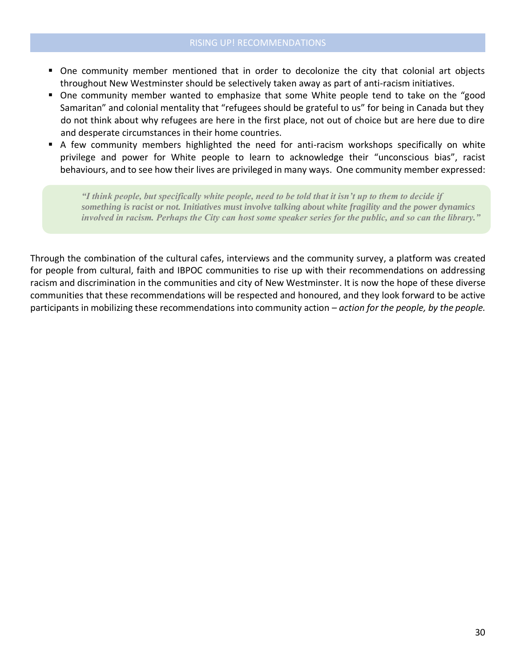- One community member mentioned that in order to decolonize the city that colonial art objects throughout New Westminster should be selectively taken away as part of anti-racism initiatives.
- One community member wanted to emphasize that some White people tend to take on the "good Samaritan" and colonial mentality that "refugees should be grateful to us" for being in Canada but they do not think about why refugees are here in the first place, not out of choice but are here due to dire and desperate circumstances in their home countries.
- A few community members highlighted the need for anti-racism workshops specifically on white privilege and power for White people to learn to acknowledge their "unconscious bias", racist behaviours, and to see how their lives are privileged in many ways. One community member expressed:

*"I think people, but specifically white people, need to be told that it isn't up to them to decide if something is racist or not. Initiatives must involve talking about white fragility and the power dynamics involved in racism. Perhaps the City can host some speaker series for the public, and so can the library."*

Through the combination of the cultural cafes, interviews and the community survey, a platform was created for people from cultural, faith and IBPOC communities to rise up with their recommendations on addressing racism and discrimination in the communities and city of New Westminster. It is now the hope of these diverse communities that these recommendations will be respected and honoured, and they look forward to be active participants in mobilizing these recommendations into community action – *action for the people, by the people.*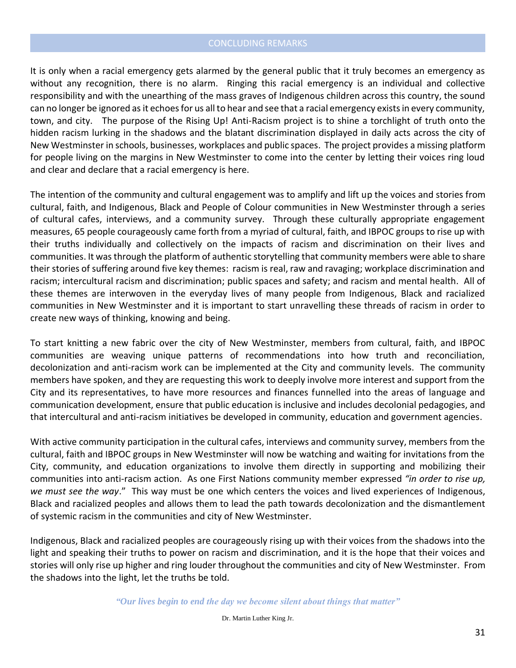### CONCLUDING REMARKS

It is only when a racial emergency gets alarmed by the general public that it truly becomes an emergency as without any recognition, there is no alarm. Ringing this racial emergency is an individual and collective responsibility and with the unearthing of the mass graves of Indigenous children across this country, the sound can no longer be ignored as it echoes for us all to hear and see that a racial emergency exists in every community, town, and city. The purpose of the Rising Up! Anti-Racism project is to shine a torchlight of truth onto the hidden racism lurking in the shadows and the blatant discrimination displayed in daily acts across the city of New Westminster in schools, businesses, workplaces and public spaces. The project provides a missing platform for people living on the margins in New Westminster to come into the center by letting their voices ring loud and clear and declare that a racial emergency is here.

The intention of the community and cultural engagement was to amplify and lift up the voices and stories from cultural, faith, and Indigenous, Black and People of Colour communities in New Westminster through a series of cultural cafes, interviews, and a community survey. Through these culturally appropriate engagement measures, 65 people courageously came forth from a myriad of cultural, faith, and IBPOC groups to rise up with their truths individually and collectively on the impacts of racism and discrimination on their lives and communities. It was through the platform of authentic storytelling that community members were able to share their stories of suffering around five key themes: racism is real, raw and ravaging; workplace discrimination and racism; intercultural racism and discrimination; public spaces and safety; and racism and mental health. All of these themes are interwoven in the everyday lives of many people from Indigenous, Black and racialized communities in New Westminster and it is important to start unravelling these threads of racism in order to create new ways of thinking, knowing and being.

To start knitting a new fabric over the city of New Westminster, members from cultural, faith, and IBPOC communities are weaving unique patterns of recommendations into how truth and reconciliation, decolonization and anti-racism work can be implemented at the City and community levels. The community members have spoken, and they are requesting this work to deeply involve more interest and support from the City and its representatives, to have more resources and finances funnelled into the areas of language and communication development, ensure that public education is inclusive and includes decolonial pedagogies, and that intercultural and anti-racism initiatives be developed in community, education and government agencies.

With active community participation in the cultural cafes, interviews and community survey, members from the cultural, faith and IBPOC groups in New Westminster will now be watching and waiting for invitations from the City, community, and education organizations to involve them directly in supporting and mobilizing their communities into anti-racism action. As one First Nations community member expressed *"in order to rise up, we must see the way*." This way must be one which centers the voices and lived experiences of Indigenous, Black and racialized peoples and allows them to lead the path towards decolonization and the dismantlement of systemic racism in the communities and city of New Westminster.

Indigenous, Black and racialized peoples are courageously rising up with their voices from the shadows into the light and speaking their truths to power on racism and discrimination, and it is the hope that their voices and stories will only rise up higher and ring louder throughout the communities and city of New Westminster. From the shadows into the light, let the truths be told.

*"Our lives begin to end the day we become silent about things that matter"*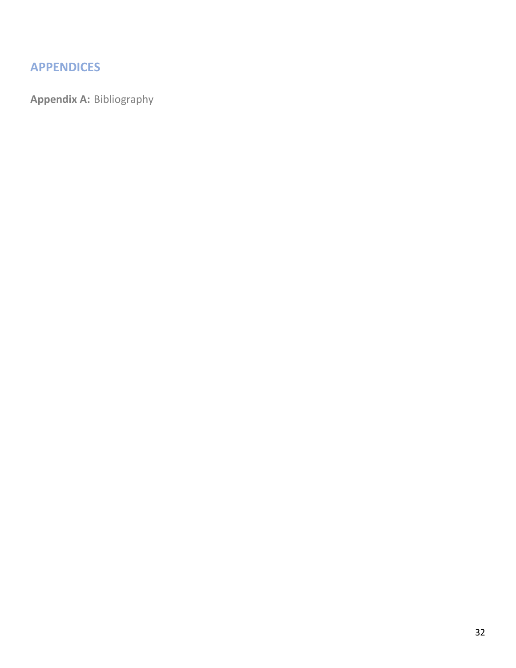# **APPENDICES**

**Appendix A:** Bibliography